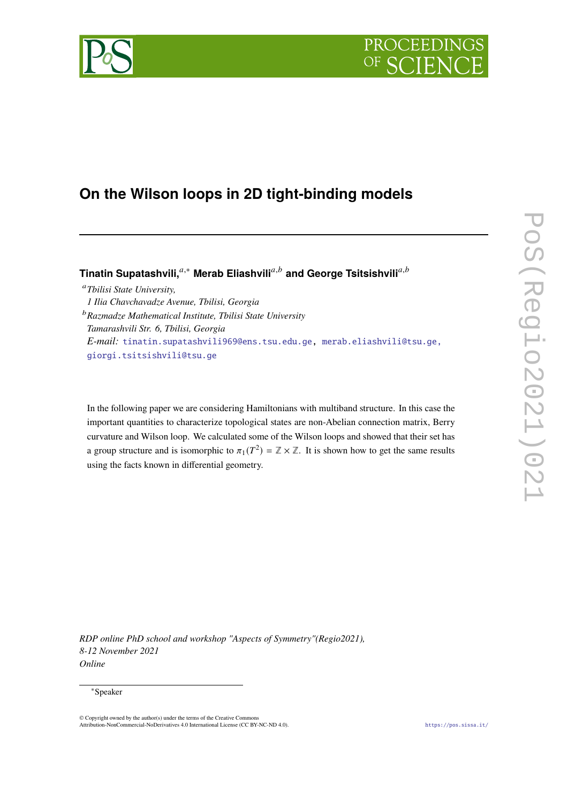

# **On the Wilson loops in 2D tight-binding models**

Tinatin Supatashvili,<sup>*a*,∗</sup> Merab Eliashvili<sup>a,b</sup> and George Tsitsishvili<sup>a,b</sup>

*Tbilisi State University, 1 Ilia Chavchavadze Avenue, Tbilisi, Georgia Razmadze Mathematical Institute, Tbilisi State University Tamarashvili Str. 6, Tbilisi, Georgia E-mail:* [tinatin.supatashvili969@ens.tsu.edu.ge,](mailto:tinatin.supatashvili969@ens.tsu.edu.ge) [merab.eliashvili@tsu.ge,](mailto:merab.eliashvili@tsu.ge, giorgi.tsitsishvili@tsu.ge) [giorgi.tsitsishvili@tsu.ge](mailto:merab.eliashvili@tsu.ge, giorgi.tsitsishvili@tsu.ge)

In the following paper we are considering Hamiltonians with multiband structure. In this case the important quantities to characterize topological states are non-Abelian connection matrix, Berry curvature and Wilson loop. We calculated some of the Wilson loops and showed that their set has a group structure and is isomorphic to  $\pi_1 (T^2) = \mathbb{Z} \times \mathbb{Z}$ . It is shown how to get the same results using the facts known in differential geometry.

*RDP online PhD school and workshop "Aspects of Symmetry"(Regio2021), 8-12 November 2021 Online*

# <sup>∗</sup>Speaker

<sup>©</sup> Copyright owned by the author(s) under the terms of the Creative Commons Attribution-NonCommercial-NoDerivatives 4.0 International License (CC BY-NC-ND 4.0). <https://pos.sissa.it/>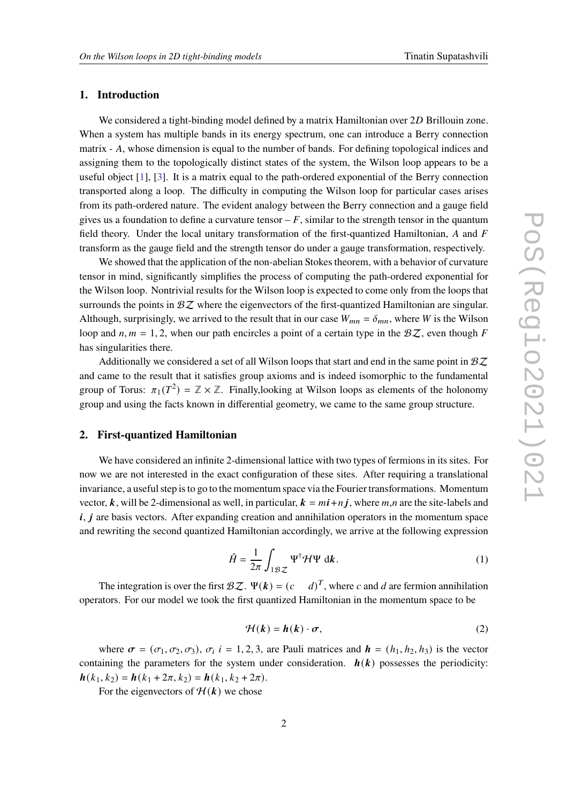# **1. Introduction**

We considered a tight-binding model defined by a matrix Hamiltonian over 2D Brillouin zone. When a system has multiple bands in its energy spectrum, one can introduce a Berry connection matrix  $- A$ , whose dimension is equal to the number of bands. For defining topological indices and assigning them to the topologically distinct states of the system, the Wilson loop appears to be a useful object [\[1\]](#page-9-0), [\[3\]](#page-9-1). It is a matrix equal to the path-ordered exponential of the Berry connection transported along a loop. The difficulty in computing the Wilson loop for particular cases arises from its path-ordered nature. The evident analogy between the Berry connection and a gauge field gives us a foundation to define a curvature tensor  $-F$ , similar to the strength tensor in the quantum field theory. Under the local unitary transformation of the first-quantized Hamiltonian,  $A$  and  $F$ transform as the gauge field and the strength tensor do under a gauge transformation, respectively.

We showed that the application of the non-abelian Stokes theorem, with a behavior of curvature tensor in mind, significantly simplifies the process of computing the path-ordered exponential for the Wilson loop. Nontrivial results for the Wilson loop is expected to come only from the loops that surrounds the points in  $\mathcal{B}Z$  where the eigenvectors of the first-quantized Hamiltonian are singular. Although, surprisingly, we arrived to the result that in our case  $W_{mn} = \delta_{mn}$ , where W is the Wilson loop and  $n, m = 1, 2$ , when our path encircles a point of a certain type in the  $BZ$ , even though F has singularities there.

Additionally we considered a set of all Wilson loops that start and end in the same point in  $\mathcal{B}Z$ and came to the result that it satisfies group axioms and is indeed isomorphic to the fundamental group of Torus:  $\pi_1(T^2) = \mathbb{Z} \times \mathbb{Z}$ . Finally, looking at Wilson loops as elements of the holonomy group and using the facts known in differential geometry, we came to the same group structure.

# **2. First-quantized Hamiltonian**

We have considered an infinite 2-dimensional lattice with two types of fermions in its sites. For now we are not interested in the exact configuration of these sites. After requiring a translational invariance, a useful step is to go to the momentum space via the Fourier transformations. Momentum vector, k, will be 2-dimensional as well, in particular,  $k = mi + nj$ , where  $m, n$  are the site-labels and  $i, j$  are basis vectors. After expanding creation and annihilation operators in the momentum space and rewriting the second quantized Hamiltonian accordingly, we arrive at the following expression

$$
\hat{H} = \frac{1}{2\pi} \int_{1\mathcal{B}Z} \Psi^{\dagger} \mathcal{H} \Psi \, \mathrm{d}\mathbf{k} \,. \tag{1}
$$

The integration is over the first  $\mathcal{B}Z$ .  $\Psi(\mathbf{k}) = (c \cdot \mathbf{k})$  $^T$ , where  $c$  and  $d$  are fermion annihilation operators. For our model we took the first quantized Hamiltonian in the momentum space to be

$$
\mathcal{H}(k) = h(k) \cdot \sigma,\tag{2}
$$

where  $\sigma = (\sigma_1, \sigma_2, \sigma_3)$ ,  $\sigma_i$  i = 1, 2, 3, are Pauli matrices and  $\mathbf{h} = (h_1, h_2, h_3)$  is the vector containing the parameters for the system under consideration.  $h(k)$  possesses the periodicity:  $h(k_1, k_2) = h(k_1 + 2\pi, k_2) = h(k_1, k_2 + 2\pi).$ 

For the eigenvectors of  $H(k)$  we chose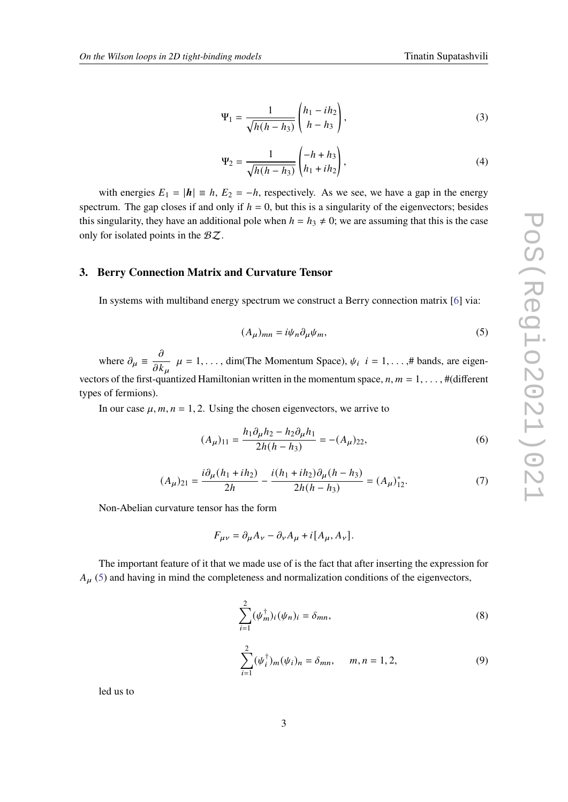<span id="page-2-1"></span>
$$
\Psi_1 = \frac{1}{\sqrt{h(h - h_3)}} \begin{pmatrix} h_1 - ih_2 \\ h - h_3 \end{pmatrix},
$$
\n(3)

<span id="page-2-2"></span>
$$
\Psi_2 = \frac{1}{\sqrt{h(h - h_3)}} \begin{pmatrix} -h + h_3 \\ h_1 + ih_2 \end{pmatrix},
$$
\n(4)

with energies  $E_1 = |\mathbf{h}| = h$ ,  $E_2 = -h$ , respectively. As we see, we have a gap in the energy spectrum. The gap closes if and only if  $h = 0$ , but this is a singularity of the eigenvectors; besides this singularity, they have an additional pole when  $h = h_3 \neq 0$ ; we are assuming that this is the case only for isolated points in the  $BZ$ .

# **3. Berry Connection Matrix and Curvature Tensor**

In systems with multiband energy spectrum we construct a Berry connection matrix [\[6\]](#page-9-2) via:

<span id="page-2-0"></span>
$$
(A_{\mu})_{mn} = i\psi_n \partial_{\mu} \psi_m,\tag{5}
$$

where  $\partial_{\mu} \equiv \frac{\partial}{\partial t}$  $\frac{\partial}{\partial k_u}$   $\mu = 1, \dots$ , dim(The Momentum Space),  $\psi_i$   $i = 1, \dots, \#$  bands, are eigenvectors of the first-quantized Hamiltonian written in the momentum space,  $n, m = 1, \ldots, \#$ (different types of fermions).

In our case  $\mu$ ,  $m$ ,  $n = 1, 2$ . Using the chosen eigenvectors, we arrive to

$$
(A_{\mu})_{11} = \frac{h_1 \partial_{\mu} h_2 - h_2 \partial_{\mu} h_1}{2h(h - h_3)} = -(A_{\mu})_{22},
$$
\n(6)

$$
(A_{\mu})_{21} = \frac{i\partial_{\mu}(h_1 + ih_2)}{2h} - \frac{i(h_1 + ih_2)\partial_{\mu}(h - h_3)}{2h(h - h_3)} = (A_{\mu})_{12}^*.
$$
 (7)

Non-Abelian curvature tensor has the form

$$
F_{\mu\nu} = \partial_{\mu}A_{\nu} - \partial_{\nu}A_{\mu} + i[A_{\mu}, A_{\nu}].
$$

The important feature of it that we made use of is the fact that after inserting the expression for  $A_{\mu}$  [\(5\)](#page-2-0) and having in mind the completeness and normalization conditions of the eigenvectors,

$$
\sum_{i=1}^{2} (\psi_m^{\dagger})_i (\psi_n)_i = \delta_{mn}, \qquad (8)
$$

$$
\sum_{i=1}^{2} (\psi_i^{\dagger})_m (\psi_i)_n = \delta_{mn}, \qquad m, n = 1, 2,
$$
 (9)

led us to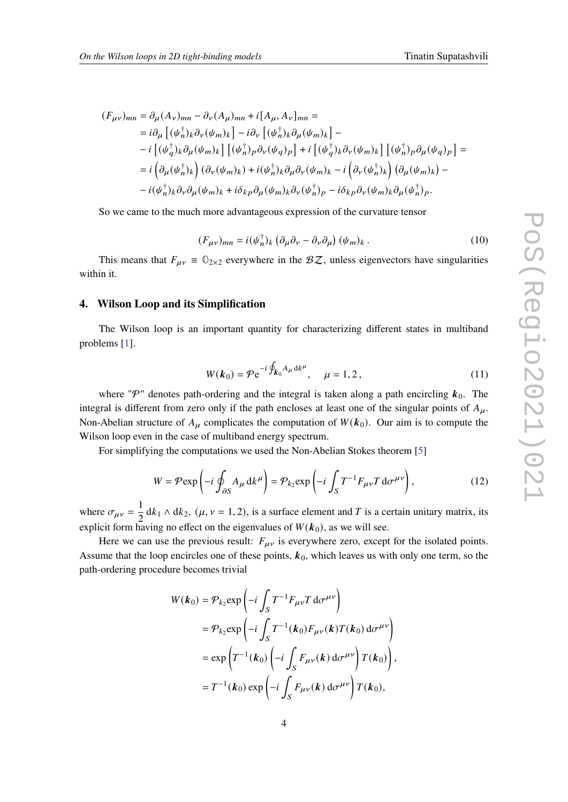$$
(F_{\mu\nu})_{mn} = \partial_{\mu} (A_{\nu})_{mn} - \partial_{\nu} (A_{\mu})_{mn} + i[A_{\mu}, A_{\nu}]_{mn} =
$$
  
\n
$$
= i\partial_{\mu} [(\psi_{n}^{\dagger})_{k}\partial_{\nu} (\psi_{m})_{k}] - i\partial_{\nu} [(\psi_{n}^{\dagger})_{k}\partial_{\mu} (\psi_{m})_{k}] -
$$
  
\n
$$
- i [(\psi_{q}^{\dagger})_{k}\partial_{\mu} (\psi_{m})_{k}] [(\psi_{n}^{\dagger})_{p}\partial_{\nu} (\psi_{q})_{p}] + i [(\psi_{q}^{\dagger})_{k}\partial_{\nu} (\psi_{m})_{k}] [(\psi_{n}^{\dagger})_{p}\partial_{\mu} (\psi_{q})_{p}] =
$$
  
\n
$$
= i (\partial_{\mu} (\psi_{n}^{\dagger})_{k}) (\partial_{\nu} (\psi_{m})_{k}) + i(\psi_{n}^{\dagger})_{k}\partial_{\mu} \partial_{\nu} (\psi_{m})_{k} - i (\partial_{\nu} (\psi_{n}^{\dagger})_{k}) (\partial_{\mu} (\psi_{m})_{k}) -
$$
  
\n
$$
- i(\psi_{n}^{\dagger})_{k}\partial_{\nu} \partial_{\mu} (\psi_{m})_{k} + i\delta_{kp}\partial_{\mu} (\psi_{m})_{k}\partial_{\nu} (\psi_{n}^{\dagger})_{p} - i\delta_{kp}\partial_{\nu} (\psi_{m})_{k}\partial_{\mu} (\psi_{n}^{\dagger})_{p}.
$$

So we came to the much more advantageous expression of the curvature tensor

<span id="page-3-0"></span>
$$
(F_{\mu\nu})_{mn} = i(\psi_n^{\dagger})_k \left(\partial_\mu \partial_\nu - \partial_\nu \partial_\mu\right) (\psi_m)_k. \tag{10}
$$

This means that  $F_{\mu\nu} \equiv \mathbb{O}_{2\times 2}$  everywhere in the  $\mathcal{BZ}$ , unless eigenvectors have singularities within it.

#### **4. Wilson Loop and its Simplification**

The Wilson loop is an important quantity for characterizing different states in multiband problems [\[1\]](#page-9-0).

$$
W(k_0) = \mathcal{P} e^{-i \oint_{k_0} A_\mu \, dk^\mu}, \quad \mu = 1, 2, \tag{11}
$$

where " $\mathcal{P}$ " denotes path-ordering and the integral is taken along a path encircling  $k_0$ . The integral is different from zero only if the path encloses at least one of the singular points of  $A<sub>u</sub>$ . Non-Abelian structure of  $A_{\mu}$  complicates the computation of  $W(k_0)$ . Our aim is to compute the Wilson loop even in the case of multiband energy spectrum.

For simplifying the computations we used the Non-Abelian Stokes theorem [\[5\]](#page-9-3)

$$
W = \mathcal{P} \exp\left(-i \oint_{\partial S} A_{\mu} \, \mathrm{d}k^{\mu}\right) = \mathcal{P}_{k_2} \exp\left(-i \int_{S} T^{-1} F_{\mu\nu} T \, \mathrm{d}\sigma^{\mu\nu}\right),\tag{12}
$$

where  $\sigma_{\mu\nu} = \frac{1}{2}$  $\frac{1}{2}$  dk<sub>1</sub>  $\wedge$  dk<sub>2</sub>, ( $\mu$ ,  $\nu$  = 1, 2), is a surface element and *T* is a certain unitary matrix, its explicit form having no effect on the eigenvalues of  $W(k_0)$ , as we will see.

Here we can use the previous result:  $F_{\mu\nu}$  is everywhere zero, except for the isolated points. Assume that the loop encircles one of these points,  $k_0$ , which leaves us with only one term, so the path-ordering procedure becomes trivial

$$
W(\boldsymbol{k}_0) = \mathcal{P}_{k_2} \exp\left(-i \int_S T^{-1} F_{\mu\nu} T \, d\sigma^{\mu\nu}\right)
$$
  
=  $\mathcal{P}_{k_2} \exp\left(-i \int_S T^{-1}(\boldsymbol{k}_0) F_{\mu\nu}(\boldsymbol{k}) T(\boldsymbol{k}_0) \, d\sigma^{\mu\nu}\right)$   
=  $\exp\left(T^{-1}(\boldsymbol{k}_0) \left(-i \int_S F_{\mu\nu}(\boldsymbol{k}) \, d\sigma^{\mu\nu}\right) T(\boldsymbol{k}_0)\right)$ ,  
=  $T^{-1}(\boldsymbol{k}_0) \exp\left(-i \int_S F_{\mu\nu}(\boldsymbol{k}) \, d\sigma^{\mu\nu}\right) T(\boldsymbol{k}_0)$ ,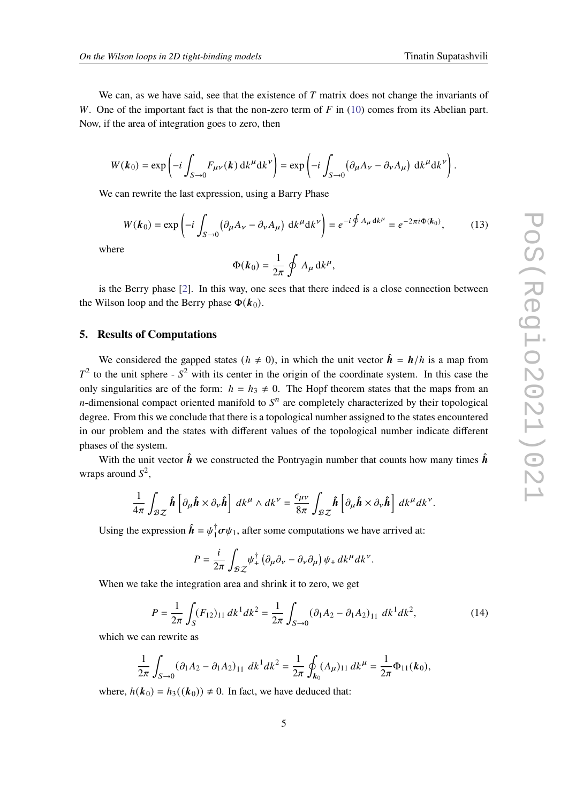We can, as we have said, see that the existence of  $T$  matrix does not change the invariants of W. One of the important fact is that the non-zero term of  $F$  in [\(10\)](#page-3-0) comes from its Abelian part. Now, if the area of integration goes to zero, then

$$
W(\boldsymbol{k}_0) = \exp\left(-i \int_{S\to 0} F_{\mu\nu}(\boldsymbol{k}) \, \mathrm{d}k^{\mu} \mathrm{d}k^{\nu}\right) = \exp\left(-i \int_{S\to 0} \left(\partial_{\mu} A_{\nu} - \partial_{\nu} A_{\mu}\right) \, \mathrm{d}k^{\mu} \mathrm{d}k^{\nu}\right).
$$

We can rewrite the last expression, using a Barry Phase

$$
W(\boldsymbol{k}_0) = \exp\left(-i \int_{S \to 0} \left(\partial_\mu A_\nu - \partial_\nu A_\mu\right) \, \mathrm{d}k^\mu \mathrm{d}k^\nu\right) = e^{-i \oint A_\mu \, \mathrm{d}k^\mu} = e^{-2\pi i \Phi(\boldsymbol{k}_0)},\tag{13}
$$

where

$$
\Phi(\boldsymbol{k}_0) = \frac{1}{2\pi} \oint A_\mu \, \mathrm{d}k^\mu,
$$

is the Berry phase [\[2\]](#page-9-4). In this way, one sees that there indeed is a close connection between the Wilson loop and the Berry phase  $\Phi(k_0)$ .

# **5. Results of Computations**

We considered the gapped states ( $h \neq 0$ ), in which the unit vector  $\hat{h} = h/h$  is a map from  $T<sup>2</sup>$  to the unit sphere -  $S<sup>2</sup>$  with its center in the origin of the coordinate system. In this case the only singularities are of the form:  $h = h_3 \neq 0$ . The Hopf theorem states that the maps from an *n*-dimensional compact oriented manifold to  $S<sup>n</sup>$  are completely characterized by their topological degree. From this we conclude that there is a topological number assigned to the states encountered in our problem and the states with different values of the topological number indicate different phases of the system.

With the unit vector  $\hat{h}$  we constructed the Pontryagin number that counts how many times  $\hat{h}$ wraps around  $S^2$ ,

$$
\frac{1}{4\pi} \int_{\mathcal{BZ}} \hat{\boldsymbol{h}} \left[ \partial_{\mu} \hat{\boldsymbol{h}} \times \partial_{\nu} \hat{\boldsymbol{h}} \right] \, dk^{\mu} \wedge dk^{\nu} = \frac{\epsilon_{\mu\nu}}{8\pi} \int_{\mathcal{BZ}} \hat{\boldsymbol{h}} \left[ \partial_{\mu} \hat{\boldsymbol{h}} \times \partial_{\nu} \hat{\boldsymbol{h}} \right] \, dk^{\mu} dk^{\nu}.
$$

Using the expression  $\hat{\mathbf{h}} = \psi_1^{\dagger}$  ${}_{1}^{\dagger}$  $\sigma\psi_1$ , after some computations we have arrived at:

$$
P = \frac{i}{2\pi} \int_{\mathcal{BZ}} \psi_+^{\dagger} \left( \partial_\mu \partial_\nu - \partial_\nu \partial_\mu \right) \psi_+ \, dk^{\mu} dk^{\nu}.
$$

When we take the integration area and shrink it to zero, we get

$$
P = \frac{1}{2\pi} \int_{S} (F_{12})_{11} dk^{1} dk^{2} = \frac{1}{2\pi} \int_{S \to 0} (\partial_{1} A_{2} - \partial_{1} A_{2})_{11} dk^{1} dk^{2},
$$
 (14)

which we can rewrite as

$$
\frac{1}{2\pi} \int_{S\to 0} (\partial_1 A_2 - \partial_1 A_2)_{11} dk^1 dk^2 = \frac{1}{2\pi} \oint_{\mathbf{k}_0} (A_\mu)_{11} dk^\mu = \frac{1}{2\pi} \Phi_{11}(\mathbf{k}_0),
$$

where,  $h(\mathbf{k}_0) = h_3((\mathbf{k}_0)) \neq 0$ . In fact, we have deduced that: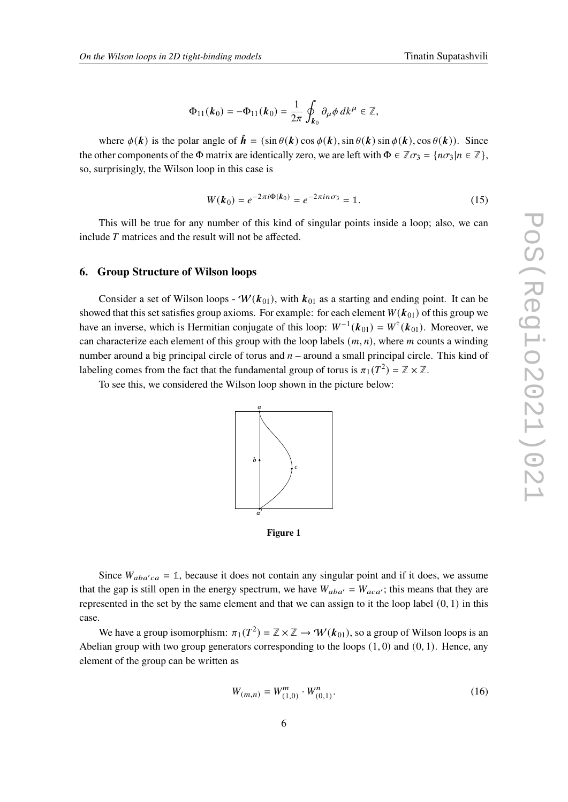$$
\Phi_{11}({\bf k}_0) = -\Phi_{11}({\bf k}_0) = \frac{1}{2\pi} \oint_{{\bf k}_0} \partial_\mu \phi \, dk^\mu \in \mathbb{Z},
$$

where  $\phi(\mathbf{k})$  is the polar angle of  $\hat{\mathbf{h}} = (\sin \theta(\mathbf{k}) \cos \phi(\mathbf{k}), \sin \theta(\mathbf{k}) \sin \phi(\mathbf{k}), \cos \theta(\mathbf{k}))$ . Since the other components of the  $\Phi$  matrix are identically zero, we are left with  $\Phi \in \mathbb{Z} \sigma_3 = \{n\sigma_3 | n \in \mathbb{Z}\}\,$ so, surprisingly, the Wilson loop in this case is

$$
W(\mathbf{k}_0) = e^{-2\pi i \Phi(\mathbf{k}_0)} = e^{-2\pi i n \sigma_3} = \mathbb{1}.
$$
 (15)

This will be true for any number of this kind of singular points inside a loop; also, we can include  $T$  matrices and the result will not be affected.

#### **6. Group Structure of Wilson loops**

Consider a set of Wilson loops -  $W(k_{01})$ , with  $k_{01}$  as a starting and ending point. It can be showed that this set satisfies group axioms. For example: for each element  $W(k_{01})$  of this group we have an inverse, which is Hermitian conjugate of this loop:  $W^{-1}(k_{01}) = W^{\dagger}(k_{01})$ . Moreover, we can characterize each element of this group with the loop labels  $(m, n)$ , where *m* counts a winding number around a big principal circle of torus and  $n-$  around a small principal circle. This kind of labeling comes from the fact that the fundamental group of torus is  $\pi_1(T^2) = \mathbb{Z} \times \mathbb{Z}$ .

To see this, we considered the Wilson loop shown in the picture below:



**Figure 1**

Since  $W_{aba'ca} = 1$ , because it does not contain any singular point and if it does, we assume that the gap is still open in the energy spectrum, we have  $W_{aba'} = W_{aca'}$ ; this means that they are represented in the set by the same element and that we can assign to it the loop label  $(0, 1)$  in this case.

We have a group isomorphism:  $\pi_1(T^2) = \mathbb{Z} \times \mathbb{Z} \to \mathcal{W}(k_{01})$ , so a group of Wilson loops is an Abelian group with two group generators corresponding to the loops  $(1, 0)$  and  $(0, 1)$ . Hence, any element of the group can be written as

$$
W_{(m,n)} = W_{(1,0)}^m \cdot W_{(0,1)}^n.
$$
 (16)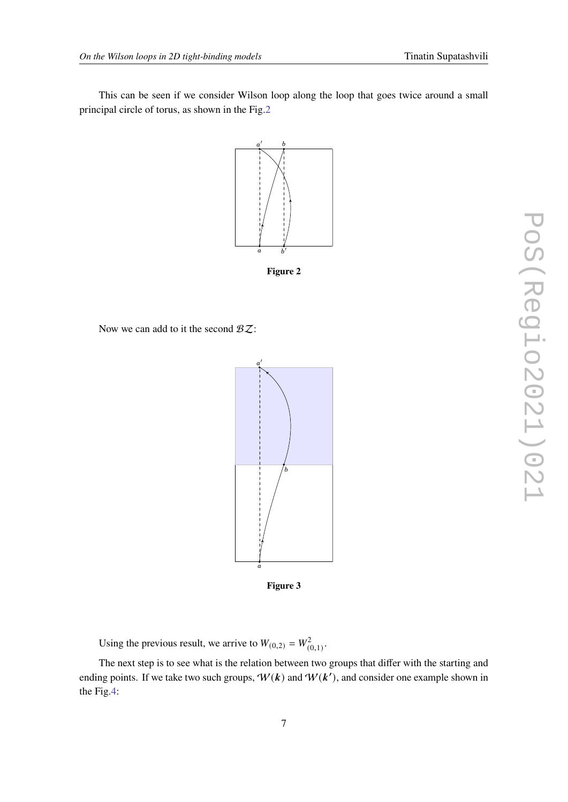<span id="page-6-0"></span>This can be seen if we consider Wilson loop along the loop that goes twice around a small principal circle of torus, as shown in the Fig[.2](#page-6-0)



**Figure 2**

Now we can add to it the second  $BZ$ :



**Figure 3**

Using the previous result, we arrive to  $W_{(0,2)} = W_{(0,1)}^2$ .

The next step is to see what is the relation between two groups that differ with the starting and ending points. If we take two such groups,  $W(k)$  and  $W(k')$ , and consider one example shown in the Fig[.4:](#page-7-0)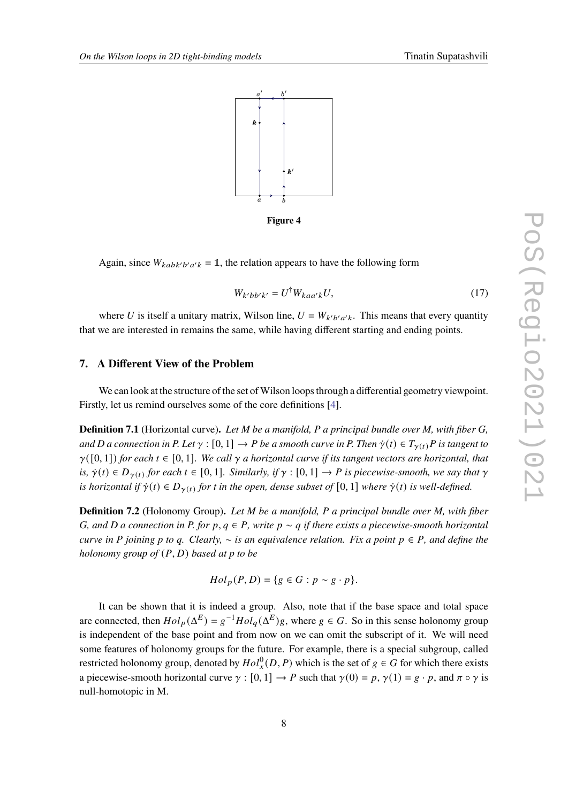<span id="page-7-0"></span>

**Figure 4**

Again, since  $W_{kabk'b'a'k} = \mathbb{1}$ , the relation appears to have the following form

<span id="page-7-1"></span>
$$
W_{k'bb'k'} = U^{\dagger} W_{kaa'k} U,\tag{17}
$$

where U is itself a unitary matrix, Wilson line,  $U = W_{k'b'a'k}$ . This means that every quantity that we are interested in remains the same, while having different starting and ending points.

# **7. A Different View of the Problem**

We can look at the structure of the set of Wilson loops through a differential geometry viewpoint. Firstly, let us remind ourselves some of the core definitions [\[4\]](#page-9-5).

**Definition 7.1** (Horizontal curve)**.** *Let M be a manifold, P a principal bundle over M, with fiber G, and D a connection in P. Let*  $\gamma : [0, 1] \to P$  *be a smooth curve in P. Then*  $\dot{\gamma}(t) \in T_{\gamma(t)}P$  *is tangent to*  $\gamma([0,1])$  for each  $t \in [0,1]$ . We call  $\gamma$  a horizontal curve if its tangent vectors are horizontal, that *is,*  $\dot{\gamma}(t) \in D_{\gamma(t)}$  for each  $t \in [0, 1]$ . Similarly, if  $\gamma : [0, 1] \to P$  is piecewise-smooth, we say that  $\gamma$ *is horizontal if*  $\dot{\gamma}(t) \in D_{\gamma(t)}$  for t in the open, dense subset of [0, 1] *where*  $\dot{\gamma}(t)$  *is well-defined.* 

**Definition 7.2** (Holonomy Group)**.** *Let M be a manifold, P a principal bundle over M, with fiber G, and D a connection in P. for p,*  $q \in P$ *, write*  $p \sim q$  *if there exists a piecewise-smooth horizontal curve in P joining p to q. Clearly,*  $∼$  *is an equivalence relation. Fix a point*  $p ∈ P$ , and define the *holonomy group of*  $(P, D)$  *based at p to be* 

$$
Hol_p(P, D) = \{ g \in G : p \sim g \cdot p \}.
$$

It can be shown that it is indeed a group. Also, note that if the base space and total space are connected, then  $Hol_p(\Delta^E) = g^{-1}Hol_q(\Delta^E)g$ , where  $g \in G$ . So in this sense holonomy group is independent of the base point and from now on we can omit the subscript of it. We will need some features of holonomy groups for the future. For example, there is a special subgroup, called restricted holonomy group, denoted by  $Hol_x^0(D, P)$  which is the set of  $g \in G$  for which there exists a piecewise-smooth horizontal curve  $\gamma : [0, 1] \to P$  such that  $\gamma(0) = p$ ,  $\gamma(1) = g \cdot p$ , and  $\pi \circ \gamma$  is null-homotopic in M.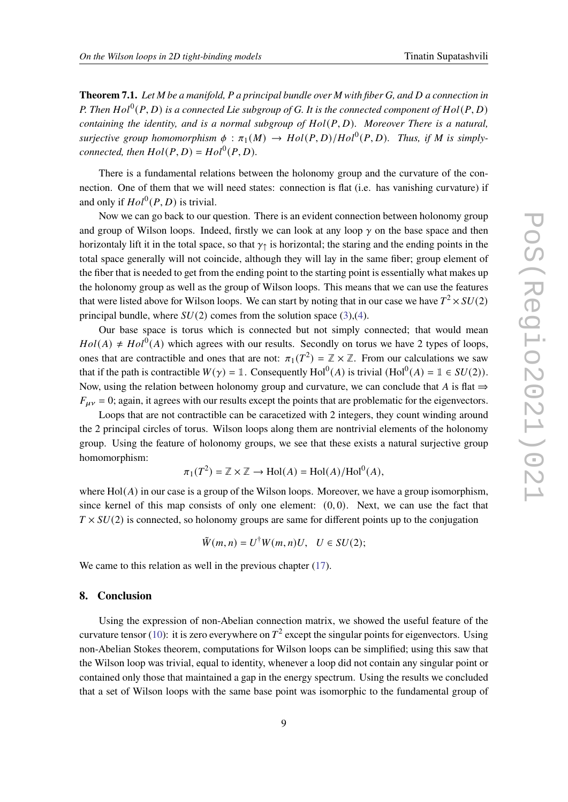**Theorem 7.1.** *Let M be a manifold, P a principal bundle over M with fiber G, and a connection in* P. Then  $Hol^0(P, D)$  is a connected Lie subgroup of G. It is the connected component of  $Hol(P, D)$ *containing the identity, and is a normal subgroup of*  $Hol(P, D)$ *. Moreover There is a natural,*  $surjective \ group \ homomorphism \ \phi : \pi_1(M) \to Hol(P,D)/Hol^0(P,D)$ . Thus, if M is simply*connected, then*  $Hol(P, D) = Hol^0(P, D)$ *.* 

There is a fundamental relations between the holonomy group and the curvature of the connection. One of them that we will need states: connection is flat (i.e. has vanishing curvature) if and only if  $Hol^0(P, D)$  is trivial.

Now we can go back to our question. There is an evident connection between holonomy group and group of Wilson loops. Indeed, firstly we can look at any loop  $\gamma$  on the base space and then horizontaly lift it in the total space, so that  $\gamma_1$  is horizontal; the staring and the ending points in the total space generally will not coincide, although they will lay in the same fiber; group element of the fiber that is needed to get from the ending point to the starting point is essentially what makes up the holonomy group as well as the group of Wilson loops. This means that we can use the features that were listed above for Wilson loops. We can start by noting that in our case we have  $T^2 \times SU(2)$ principal bundle, where  $SU(2)$  comes from the solution space [\(3\)](#page-2-1),[\(4\)](#page-2-2).

Our base space is torus which is connected but not simply connected; that would mean  $Hol(A) \neq Hol^0(A)$  which agrees with our results. Secondly on torus we have 2 types of loops, ones that are contractible and ones that are not:  $\pi_1(T^2) = \mathbb{Z} \times \mathbb{Z}$ . From our calculations we saw that if the path is contractible  $W(\gamma) = \mathbb{1}$ . Consequently  $Hol^0(A)$  is trivial  $(Hol^0(A) = \mathbb{1} \in SU(2))$ . Now, using the relation between holonomy group and curvature, we can conclude that A is flat  $\Rightarrow$  $F_{\mu\nu} = 0$ ; again, it agrees with our results except the points that are problematic for the eigenvectors.

Loops that are not contractible can be caracetized with 2 integers, they count winding around the 2 principal circles of torus. Wilson loops along them are nontrivial elements of the holonomy group. Using the feature of holonomy groups, we see that these exists a natural surjective group homomorphism:

$$
\pi_1(T^2) = \mathbb{Z} \times \mathbb{Z} \to \text{Hol}(A) = \text{Hol}(A)/\text{Hol}^0(A),
$$

where  $Hol(A)$  in our case is a group of the Wilson loops. Moreover, we have a group isomorphism, since kernel of this map consists of only one element:  $(0, 0)$ . Next, we can use the fact that  $T \times SU(2)$  is connected, so holonomy groups are same for different points up to the conjugation

$$
\tilde{W}(m,n) = U^{\dagger}W(m,n)U, \quad U \in SU(2);
$$

We came to this relation as well in the previous chapter  $(17)$ .

### **8. Conclusion**

Using the expression of non-Abelian connection matrix, we showed the useful feature of the curvature tensor [\(10\)](#page-3-0): it is zero everywhere on  $T^2$  except the singular points for eigenvectors. Using non-Abelian Stokes theorem, computations for Wilson loops can be simplified; using this saw that the Wilson loop was trivial, equal to identity, whenever a loop did not contain any singular point or contained only those that maintained a gap in the energy spectrum. Using the results we concluded that a set of Wilson loops with the same base point was isomorphic to the fundamental group of